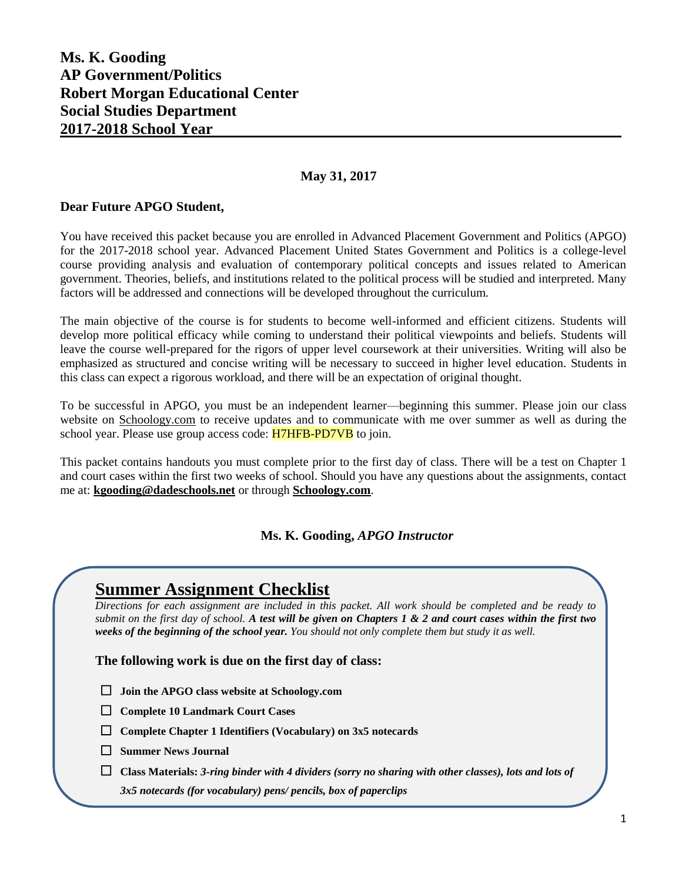### **Ms. K. Gooding AP Government/Politics Robert Morgan Educational Center Social Studies Department 2017-2018 School Year**

#### **May 31, 2017**

#### **Dear Future APGO Student,**

You have received this packet because you are enrolled in Advanced Placement Government and Politics (APGO) for the 2017-2018 school year. Advanced Placement United States Government and Politics is a college-level course providing analysis and evaluation of contemporary political concepts and issues related to American government. Theories, beliefs, and institutions related to the political process will be studied and interpreted. Many factors will be addressed and connections will be developed throughout the curriculum.

The main objective of the course is for students to become well-informed and efficient citizens. Students will develop more political efficacy while coming to understand their political viewpoints and beliefs. Students will leave the course well-prepared for the rigors of upper level coursework at their universities. Writing will also be emphasized as structured and concise writing will be necessary to succeed in higher level education. Students in this class can expect a rigorous workload, and there will be an expectation of original thought.

To be successful in APGO, you must be an independent learner—beginning this summer. Please join our class website on Schoology.com to receive updates and to communicate with me over summer as well as during the school year. Please use group access code: **H7HFB-PD7VB** to join.

This packet contains handouts you must complete prior to the first day of class. There will be a test on Chapter 1 and court cases within the first two weeks of school. Should you have any questions about the assignments, contact me at: **[kgooding@dadeschools.net](mailto:kgooding@dadeschools.net)** or through **Schoology.com**.

#### **Ms. K. Gooding,** *APGO Instructor*

## **Summer Assignment Checklist**

*Directions for each assignment are included in this packet. All work should be completed and be ready to submit on the first day of school. A test will be given on Chapters 1 & 2 and court cases within the first two weeks of the beginning of the school year. You should not only complete them but study it as well.*

**The following work is due on the first day of class:**

- **Join the APGO class website at Schoology.com**
- **Complete 10 Landmark Court Cases**
- **Complete Chapter 1 Identifiers (Vocabulary) on 3x5 notecards**
- **Summer News Journal**
- **Class Materials:** *3-ring binder with 4 dividers (sorry no sharing with other classes), lots and lots of*

*3x5 notecards (for vocabulary) pens/ pencils, box of paperclips*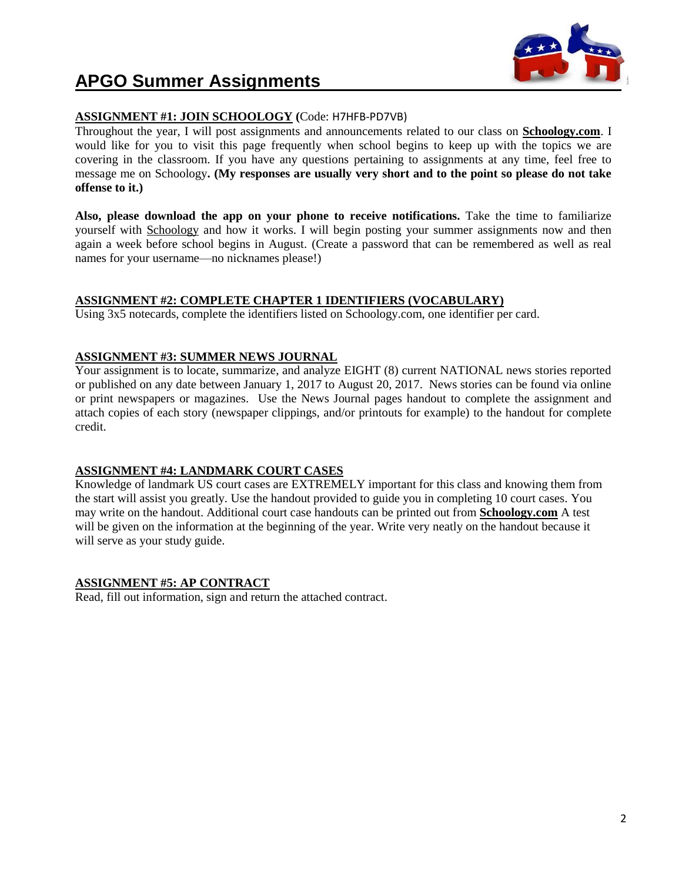

# **APGO Summer Assignments**

#### **ASSIGNMENT #1: JOIN SCHOOLOGY (**Code: H7HFB-PD7VB)

Throughout the year, I will post assignments and announcements related to our class on **Schoology.com**. I would like for you to visit this page frequently when school begins to keep up with the topics we are covering in the classroom. If you have any questions pertaining to assignments at any time, feel free to message me on Schoology**. (My responses are usually very short and to the point so please do not take offense to it.)**

**Also, please download the app on your phone to receive notifications.** Take the time to familiarize yourself with Schoology and how it works. I will begin posting your summer assignments now and then again a week before school begins in August. (Create a password that can be remembered as well as real names for your username—no nicknames please!)

#### **ASSIGNMENT #2: COMPLETE CHAPTER 1 IDENTIFIERS (VOCABULARY)**

Using 3x5 notecards, complete the identifiers listed on Schoology.com, one identifier per card.

#### **ASSIGNMENT #3: SUMMER NEWS JOURNAL**

Your assignment is to locate, summarize, and analyze EIGHT (8) current NATIONAL news stories reported or published on any date between January 1, 2017 to August 20, 2017. News stories can be found via online or print newspapers or magazines. Use the News Journal pages handout to complete the assignment and attach copies of each story (newspaper clippings, and/or printouts for example) to the handout for complete credit.

#### **ASSIGNMENT #4: LANDMARK COURT CASES**

Knowledge of landmark US court cases are EXTREMELY important for this class and knowing them from the start will assist you greatly. Use the handout provided to guide you in completing 10 court cases. You may write on the handout. Additional court case handouts can be printed out from **Schoology.com** A test will be given on the information at the beginning of the year. Write very neatly on the handout because it will serve as your study guide.

#### **ASSIGNMENT #5: AP CONTRACT**

Read, fill out information, sign and return the attached contract.